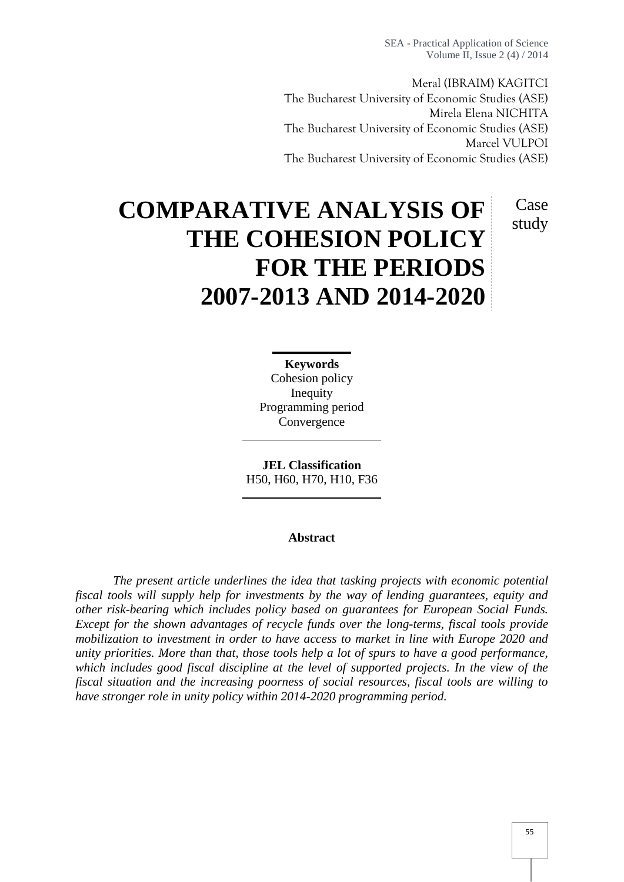SEA - Practical Application of Science Volume II, Issue 2 (4) / 2014

Meral (IBRAIM) KAGITCI The Bucharest University of Economic Studies (ASE) Mirela Elena NICHITA The Bucharest University of Economic Studies (ASE) Marcel VULPOI The Bucharest University of Economic Studies (ASE)

> Case study

# **COMPARATIVE ANALYSIS OF THE COHESION POLICY FOR THE PERIODS 2007-2013 AND 2014-2020**

**Keywords** Cohesion policy Inequity Programming period Convergence

**JEL Classification** H50, H60, H70, H10, F36

#### **Abstract**

*The present article underlines the idea that tasking projects with economic potential fiscal tools will supply help for investments by the way of lending guarantees, equity and other risk-bearing which includes policy based on guarantees for European Social Funds. Except for the shown advantages of recycle funds over the long-terms, fiscal tools provide mobilization to investment in order to have access to market in line with Europe 2020 and unity priorities. More than that, those tools help a lot of spurs to have a good performance, which includes good fiscal discipline at the level of supported projects. In the view of the fiscal situation and the increasing poorness of social resources, fiscal tools are willing to have stronger role in unity policy within 2014-2020 programming period.*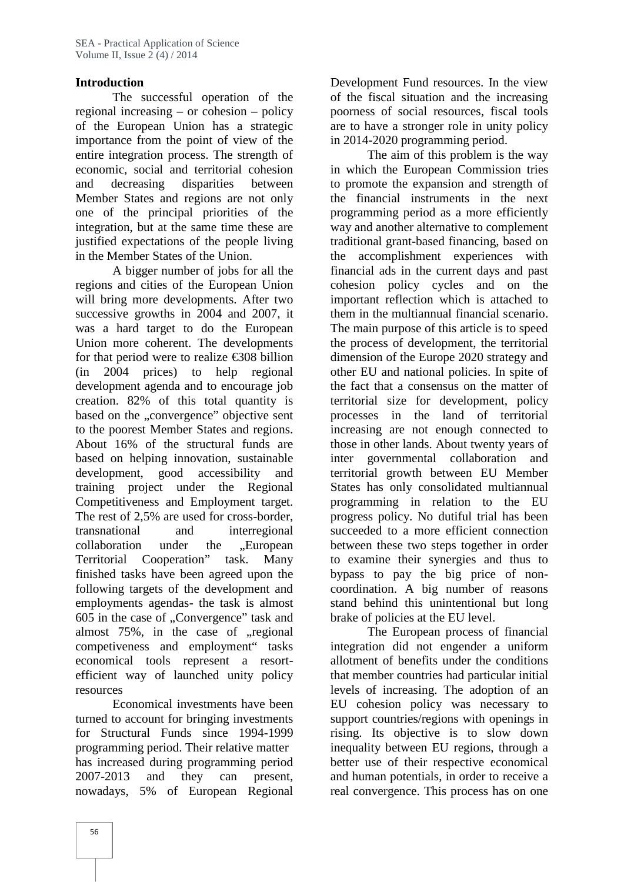### **Introduction**

The successful operation of the regional increasing – or cohesion – policy of the European Union has a strategic importance from the point of view of the entire integration process. The strength of economic, social and territorial cohesion and decreasing disparities between Member States and regions are not only one of the principal priorities of the integration, but at the same time these are justified expectations of the people living in the Member States of the Union.

A bigger number of jobs for all the regions and cities of the European Union will bring more developments. After two successive growths in 2004 and 2007, it was a hard target to do the European Union more coherent. The developments for that period were to realize  $\text{\textsterling}308$  billion (in 2004 prices) to help regional development agenda and to encourage job creation. 82% of this total quantity is based on the "convergence" objective sent to the poorest Member States and regions. About 16% of the structural funds are based on helping innovation, sustainable development, good accessibility and training project under the Regional Competitiveness and Employment target. The rest of 2,5% are used for cross-border, transnational and interregional collaboration under the .European Territorial Cooperation" task. Many finished tasks have been agreed upon the following targets of the development and employments agendas- the task is almost 605 in the case of "Convergence" task and almost  $75\%$ , in the case of  $\mu$  regional competiveness and employment" tasks economical tools represent a resort efficient way of launched unity policy resources

Economical investments have been turned to account for bringing investments for Structural Funds since 1994-1999 programming period. Their relative matter has increased during programming period 2007-2013 and they can present, nowadays, 5% of European Regional

Development Fund resources. In the view of the fiscal situation and the increasing poorness of social resources, fiscal tools are to have a stronger role in unity policy in 2014-2020 programming period.

The aim of this problem is the way in which the European Commission tries to promote the expansion and strength of the financial instruments in the next programming period as a more efficiently way and another alternative to complement traditional grant-based financing, based on the accomplishment experiences with financial ads in the current days and past cohesion policy cycles and on the important reflection which is attached to them in the multiannual financial scenario. The main purpose of this article is to speed the process of development, the territorial dimension of the Europe 2020 strategy and other EU and national policies. In spite of the fact that a consensus on the matter of territorial size for development, policy processes in the land of territorial increasing are not enough connected to those in other lands. About twenty years of inter governmental collaboration and territorial growth between EU Member States has only consolidated multiannual programming in relation to the EU progress policy. No dutiful trial has been succeeded to a more efficient connection between these two steps together in order to examine their synergies and thus to bypass to pay the big price of non coordination. A big number of reasons stand behind this unintentional but long brake of policies at the EU level.

The European process of financial integration did not engender a uniform allotment of benefits under the conditions that member countries had particular initial levels of increasing. The adoption of an EU cohesion policy was necessary to support countries/regions with openings in rising. Its objective is to slow down inequality between EU regions, through a better use of their respective economical and human potentials, in order to receive a real convergence. This process has on one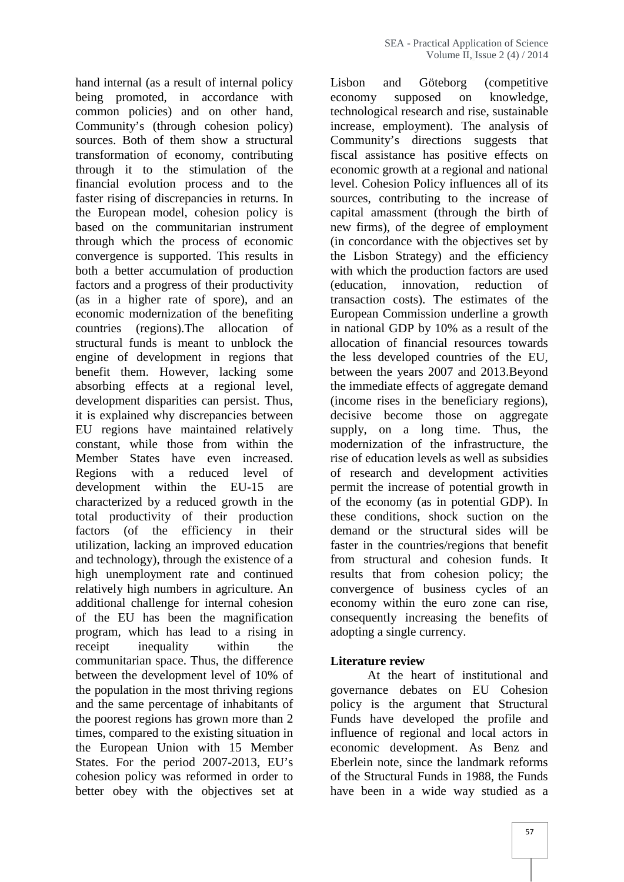hand internal (as a result of internal policy Lisbon being promoted, in accordance with economy common policies) and on other hand, Community's (through cohesion policy) sources. Both of them show a structural transformation of economy, contributing through it to the stimulation of the financial evolution process and to the faster rising of discrepancies in returns. In the European model, cohesion policy is based on the communitarian instrument through which the process of economic convergence is supported. This results in both a better accumulation of production factors and a progress of their productivity (as in a higher rate of spore), and an economic modernization of the benefiting countries (regions).The allocation of structural funds is meant to unblock the engine of development in regions that benefit them. However, lacking some absorbing effects at a regional level, development disparities can persist. Thus, it is explained why discrepancies between EU regions have maintained relatively constant, while those from within the Member States have even increased. Regions with a reduced level of development within the EU-15 are characterized by a reduced growth in the total productivity of their production factors (of the efficiency in their utilization, lacking an improved education and technology), through the existence of a high unemployment rate and continued relatively high numbers in agriculture. An additional challenge for internal cohesion of the EU has been the magnification program, which has lead to a rising in receipt inequality within the communitarian space. Thus, the difference between the development level of 10% of the population in the most thriving regions and the same percentage of inhabitants of the poorest regions has grown more than 2 times, compared to the existing situation in the European Union with 15 Member States. For the period 2007-2013, EU's cohesion policy was reformed in order to better obey with the objectives set at

and Göteborg (competitive supposed on knowledge, technological research and rise, sustainable increase, employment). The analysis of Community's directions suggests that fiscal assistance has positive effects on economic growth at a regional and national level. Cohesion Policy influences all of its sources, contributing to the increase of capital amassment (through the birth of new firms), of the degree of employment (in concordance with the objectives set by the Lisbon Strategy) and the efficiency with which the production factors are used innovation, reduction of transaction costs). The estimates of the European Commission underline a growth in national GDP by 10% as a result of the allocation of financial resources towards the less developed countries of the EU, between the years 2007 and 2013.Beyond the immediate effects of aggregate demand (income rises in the beneficiary regions), decisive become those on aggregate supply, on a long time. Thus, the modernization of the infrastructure, the rise of education levels as well as subsidies of research and development activities permit the increase of potential growth in of the economy (as in potential GDP). In these conditions, shock suction on the demand or the structural sides will be faster in the countries/regions that benefit from structural and cohesion funds. It results that from cohesion policy; the convergence of business cycles of an economy within the euro zone can rise, consequently increasing the benefits of adopting a single currency.

#### **Literature review**

At the heart of institutional and governance debates on EU Cohesion policy is the argument that Structural Funds have developed the profile and influence of regional and local actors in economic development. As Benz and Eberlein note, since the landmark reforms of the Structural Funds in 1988, the Funds have been in a wide way studied as a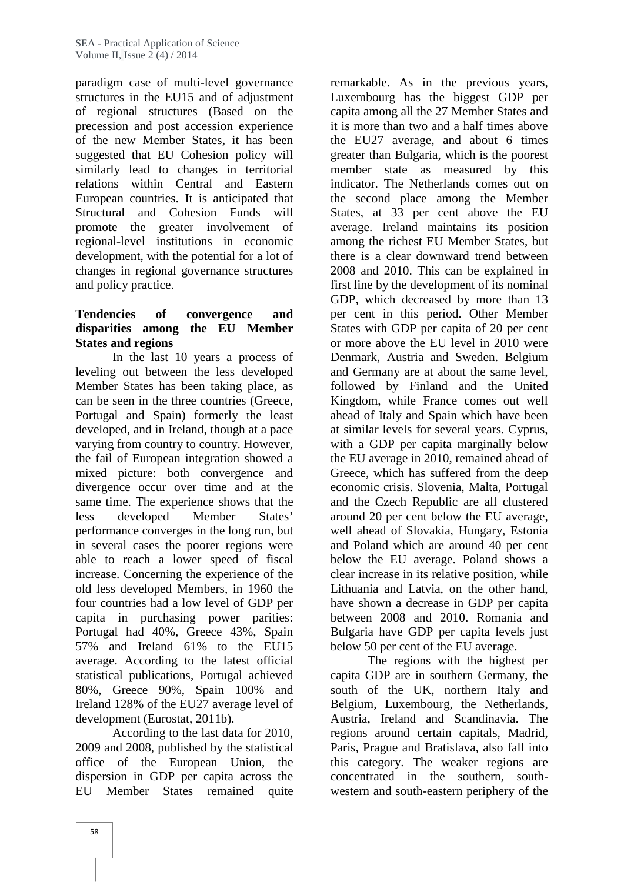paradigm case of multi-level governance structures in the EU15 and of adjustment of regional structures (Based on the precession and post accession experience of the new Member States, it has been suggested that EU Cohesion policy will similarly lead to changes in territorial relations within Central and Eastern European countries. It is anticipated that Structural and Cohesion Funds will promote the greater involvement of regional-level institutions in economic development, with the potential for a lot of changes in regional governance structures and policy practice.

# **Tendencies of convergence and disparities among the EU Member States and regions**

In the last 10 years a process of leveling out between the less developed Member States has been taking place, as can be seen in the three countries (Greece, Portugal and Spain) formerly the least developed, and in Ireland, though at a pace varying from country to country. However, the fail of European integration showed a mixed picture: both convergence and divergence occur over time and at the same time. The experience shows that the less developed Member States' performance converges in the long run, but in several cases the poorer regions were able to reach a lower speed of fiscal increase. Concerning the experience of the old less developed Members, in 1960 the four countries had a low level of GDP per capita in purchasing power parities: Portugal had 40%, Greece 43%, Spain 57% and Ireland 61% to the EU15 average. According to the latest official statistical publications, Portugal achieved 80%, Greece 90%, Spain 100% and Ireland 128% of the EU27 average level of development (Eurostat, 2011b).

According to the last data for 2010, 2009 and 2008, published by the statistical office of the European Union, the dispersion in GDP per capita across the EU Member States remained quite

remarkable. As in the previous years, Luxembourg has the biggest GDP per capita among all the 27 Member States and it is more than two and a half times above the EU27 average, and about 6 times greater than Bulgaria, which is the poorest member state as measured by this indicator. The Netherlands comes out on the second place among the Member States, at 33 per cent above the EU average. Ireland maintains its position among the richest EU Member States, but there is a clear downward trend between 2008 and 2010. This can be explained in first line by the development of its nominal GDP, which decreased by more than 13 per cent in this period. Other Member States with GDP per capita of 20 per cent or more above the EU level in 2010 were Denmark, Austria and Sweden. Belgium and Germany are at about the same level, followed by Finland and the United Kingdom, while France comes out well ahead of Italy and Spain which have been at similar levels for several years. Cyprus, with a GDP per capita marginally below the EU average in 2010, remained ahead of Greece, which has suffered from the deep economic crisis. Slovenia, Malta, Portugal and the Czech Republic are all clustered around 20 per cent below the EU average, well ahead of Slovakia, Hungary, Estonia and Poland which are around 40 per cent below the EU average. Poland shows a clear increase in its relative position, while Lithuania and Latvia, on the other hand, have shown a decrease in GDP per capita between 2008 and 2010. Romania and Bulgaria have GDP per capita levels just below 50 per cent of the EU average.

The regions with the highest per capita GDP are in southern Germany, the south of the UK, northern Italy and Belgium, Luxembourg, the Netherlands, Austria, Ireland and Scandinavia. The regions around certain capitals, Madrid, Paris, Prague and Bratislava, also fall into this category. The weaker regions are concentrated in the southern, south western and south-eastern periphery of the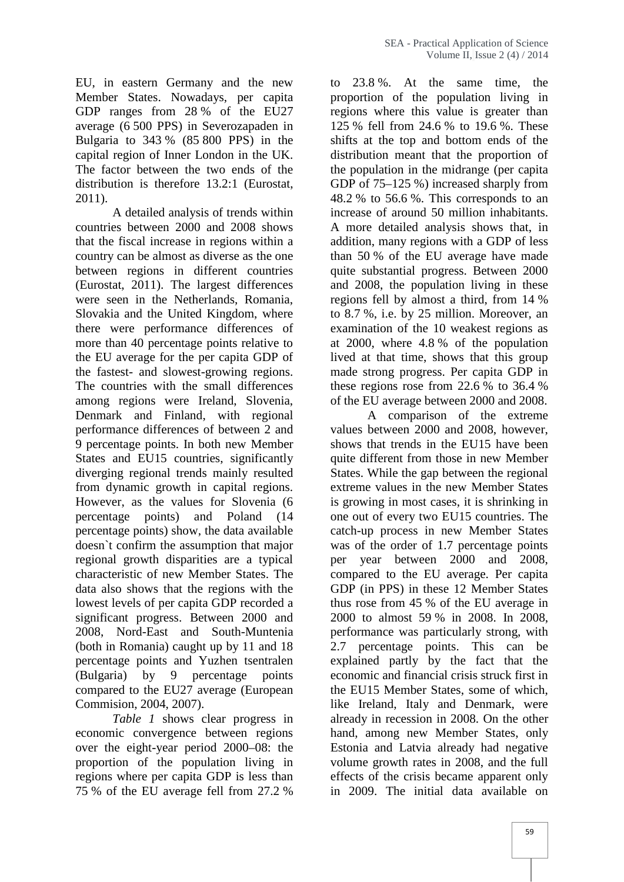EU, in eastern Germany and the new Member States. Nowadays, per capita GDP ranges from 28 % of the EU27 average (6 500 PPS) in Severozapaden in Bulgaria to 343 % (85 800 PPS) in the capital region of Inner London in the UK. The factor between the two ends of the distribution is therefore 13.2:1 (Eurostat, 2011).

A detailed analysis of trends within countries between 2000 and 2008 shows that the fiscal increase in regions within a country can be almost as diverse as the one between regions in different countries (Eurostat, 2011). The largest differences were seen in the Netherlands, Romania, Slovakia and the United Kingdom, where there were performance differences of more than 40 percentage points relative to the EU average for the per capita GDP of the fastest- and slowest-growing regions. The countries with the small differences among regions were Ireland, Slovenia, Denmark and Finland, with regional performance differences of between 2 and 9 percentage points. In both new Member States and EU15 countries, significantly diverging regional trends mainly resulted from dynamic growth in capital regions. However, as the values for Slovenia (6 percentage points) and Poland (14 percentage points) show, the data available doesn`t confirm the assumption that major regional growth disparities are a typical characteristic of new Member States. The data also shows that the regions with the lowest levels of per capita GDP recorded a significant progress. Between 2000 and 2008, Nord-East and South-Muntenia (both in Romania) caught up by 11 and 18 percentage points and Yuzhen tsentralen (Bulgaria) by 9 percentage points compared to the EU27 average (European Commision, 2004, 2007).

*Table 1* shows clear progress in economic convergence between regions over the eight-year period 2000–08: the proportion of the population living in regions where per capita GDP is less than 75 % of the EU average fell from 27.2 %

to 23.8 %. At the same time, the proportion of the population living in regions where this value is greater than 125 % fell from 24.6 % to 19.6 %. These shifts at the top and bottom ends of the distribution meant that the proportion of the population in the midrange (per capita GDP of 75–125 %) increased sharply from 48.2 % to 56.6 %. This corresponds to an increase of around 50 million inhabitants. A more detailed analysis shows that, in addition, many regions with a GDP of less than 50 % of the EU average have made quite substantial progress. Between 2000 and 2008, the population living in these regions fell by almost a third, from 14 % to 8.7 %, i.e. by 25 million. Moreover, an examination of the 10 weakest regions as at 2000, where 4.8 % of the population lived at that time, shows that this group made strong progress. Per capita GDP in these regions rose from 22.6 % to 36.4 % of the EU average between 2000 and 2008.

A comparison of the extreme values between 2000 and 2008, however, shows that trends in the EU15 have been quite different from those in new Member States. While the gap between the regional extreme values in the new Member States is growing in most cases, it is shrinking in one out of every two EU15 countries. The catch-up process in new Member States was of the order of 1.7 percentage points per year between 2000 and 2008, compared to the EU average. Per capita GDP (in PPS) in these 12 Member States thus rose from 45 % of the EU average in 2000 to almost 59 % in 2008. In 2008, performance was particularly strong, with 2.7 percentage points. This can be explained partly by the fact that the economic and financial crisis struck first in the EU15 Member States, some of which, like Ireland, Italy and Denmark, were already in recession in 2008. On the other hand, among new Member States, only Estonia and Latvia already had negative volume growth rates in 2008, and the full effects of the crisis became apparent only in 2009. The initial data available on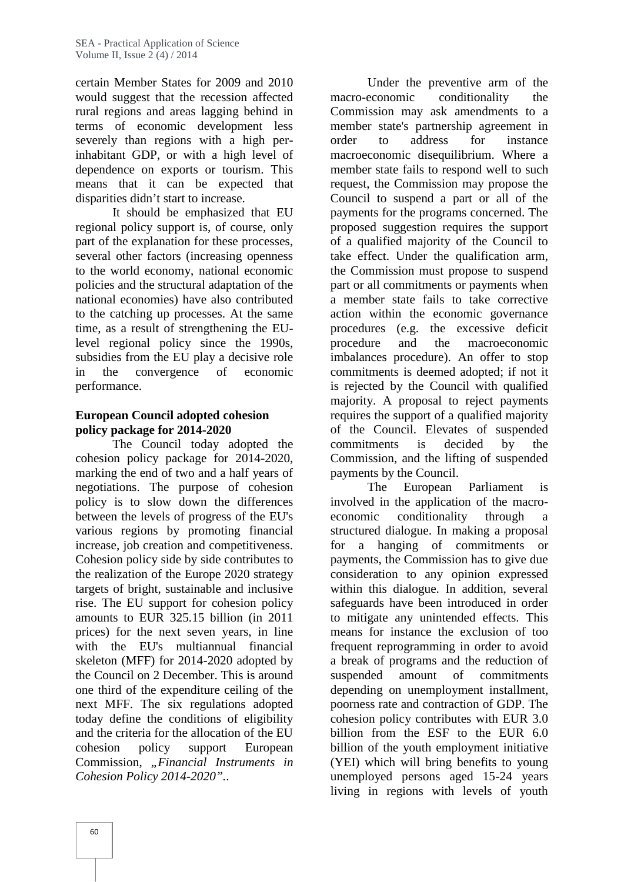certain Member States for 2009 and 2010 would suggest that the recession affected rural regions and areas lagging behind in terms of economic development less severely than regions with a high perinhabitant GDP, or with a high level of dependence on exports or tourism. This means that it can be expected that disparities didn't start to increase.

It should be emphasized that EU regional policy support is, of course, only part of the explanation for these processes, several other factors (increasing openness to the world economy, national economic policies and the structural adaptation of the national economies) have also contributed to the catching up processes. At the same time, as a result of strengthening the EUlevel regional policy since the 1990s, subsidies from the EU play a decisive role in the convergence of economic performance.

# **European Council adopted cohesion policy package for 2014-2020**

The Council today adopted the cohesion policy package for 2014-2020, marking the end of two and a half years of negotiations. The purpose of cohesion policy is to slow down the differences between the levels of progress of the EU's various regions by promoting financial increase, job creation and competitiveness. Cohesion policy side by side contributes to the realization of the Europe 2020 strategy targets of bright, sustainable and inclusive rise. The EU support for cohesion policy amounts to EUR 325.15 billion (in 2011 prices) for the next seven years, in line with the EU's multiannual financial skeleton (MFF) for 2014-2020 adopted by the Council on 2 December. This is around one third of the expenditure ceiling of the next MFF. The six regulations adopted today define the conditions of eligibility and the criteria for the allocation of the EU cohesion policy support European Commission, *"Financial Instruments in Cohesion Policy 2014-2020".*.

Under the preventive arm of the macro-economic conditionality the Commission may ask amendments to a member state's partnership agreement in order to address for instance macroeconomic disequilibrium. Where a member state fails to respond well to such request, the Commission may propose the Council to suspend a part or all of the payments for the programs concerned. The proposed suggestion requires the support of a qualified majority of the Council to take effect. Under the qualification arm, the Commission must propose to suspend part or all commitments or payments when a member state fails to take corrective action within the economic governance procedures (e.g. the excessive deficit procedure and the macroeconomic imbalances procedure). An offer to stop commitments is deemed adopted; if not it is rejected by the Council with qualified majority. A proposal to reject payments requires the support of a qualified majority of the Council. Elevates of suspended commitments is decided by the Commission, and the lifting of suspended payments by the Council.

The European Parliament is involved in the application of the macro economic conditionality through a structured dialogue. In making a proposal for a hanging of commitments or payments, the Commission has to give due consideration to any opinion expressed within this dialogue. In addition, several safeguards have been introduced in order to mitigate any unintended effects. This means for instance the exclusion of too frequent reprogramming in order to avoid a break of programs and the reduction of amount of commitments depending on unemployment installment, poorness rate and contraction of GDP. The cohesion policy contributes with EUR 3.0 billion from the ESF to the EUR 6.0 billion of the youth employment initiative (YEI) which will bring benefits to young unemployed persons aged 15-24 years living in regions with levels of youth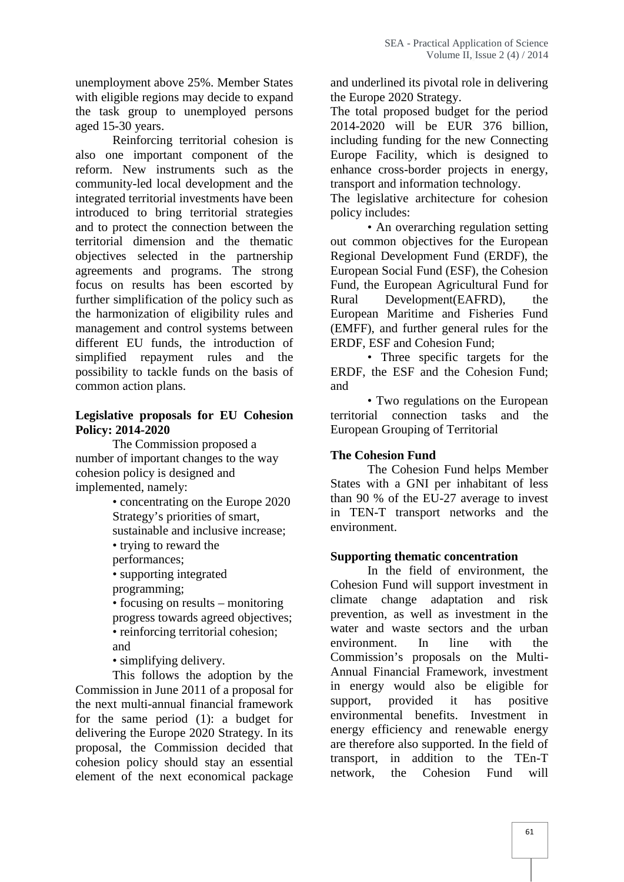unemployment above 25%. Member States with eligible regions may decide to expand the task group to unemployed persons aged 15-30 years.

Reinforcing territorial cohesion is also one important component of the reform. New instruments such as the community-led local development and the integrated territorial investments have been introduced to bring territorial strategies and to protect the connection between the territorial dimension and the thematic objectives selected in the partnership agreements and programs. The strong focus on results has been escorted by further simplification of the policy such as the harmonization of eligibility rules and management and control systems between different EU funds, the introduction of simplified repayment rules and the possibility to tackle funds on the basis of common action plans.

#### **Legislative proposals for EU Cohesion Policy: 2014-2020**

The Commission proposed a number of important changes to the way cohesion policy is designed and implemented, namely:

• concentrating on the Europe 2020 Strategy's priorities of smart, sustainable and inclusive increase; • trying to reward the

performances;

• supporting integrated

programming;

• focusing on results – monitoring progress towards agreed objectives; • reinforcing territorial cohesion; and

• simplifying delivery.

This follows the adoption by the Commission in June 2011 of a proposal for the next multi-annual financial framework for the same period (1): a budget for delivering the Europe 2020 Strategy. In its proposal, the Commission decided that cohesion policy should stay an essential element of the next economical package network,

and underlined its pivotal role in delivering the Europe 2020 Strategy.

The total proposed budget for the period 2014-2020 will be EUR 376 billion, including funding for the new Connecting Europe Facility, which is designed to enhance cross-border projects in energy, transport and information technology.

The legislative architecture for cohesion policy includes:

• An overarching regulation setting out common objectives for the European Regional Development Fund (ERDF), the European Social Fund (ESF), the Cohesion Fund, the European Agricultural Fund for Rural Development(EAFRD), the European Maritime and Fisheries Fund (EMFF), and further general rules for the ERDF, ESF and Cohesion Fund;

• Three specific targets for the ERDF, the ESF and the Cohesion Fund; and

• Two regulations on the European territorial connection tasks and the European Grouping of Territorial

#### **The Cohesion Fund**

The Cohesion Fund helps Member States with a GNI per inhabitant of less than 90 % of the EU-27 average to invest in TEN-T transport networks and the environment.

#### **Supporting thematic concentration**

In the field of environment, the Cohesion Fund will support investment in climate change adaptation and risk prevention, as well as investment in the water and waste sectors and the urban environment. In line with the Commission's proposals on the Multi- Annual Financial Framework, investment in energy would also be eligible for provided it has positive environmental benefits. Investment in energy efficiency and renewable energy are therefore also supported. In the field of transport, in addition to the TEn-T the Cohesion Fund will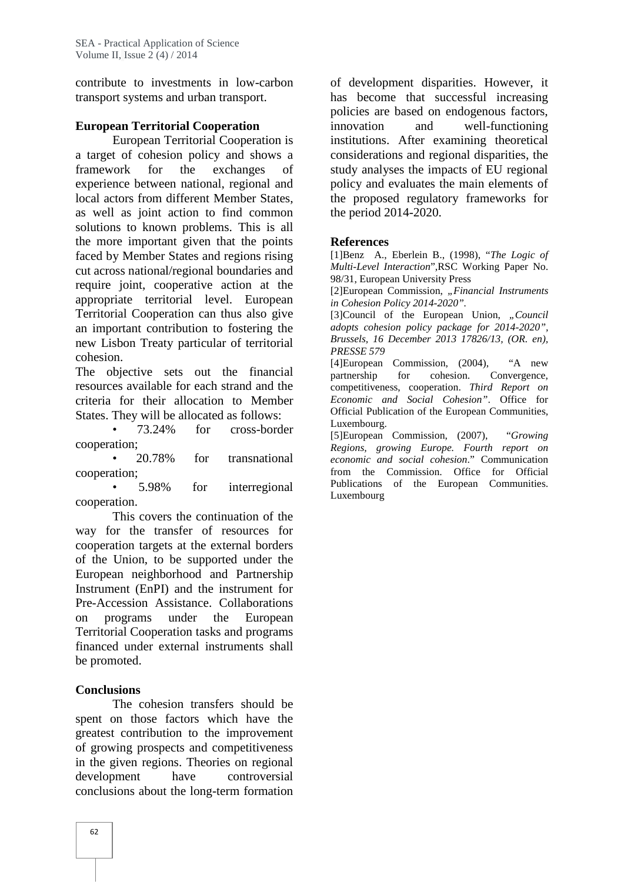contribute to investments in low-carbon transport systems and urban transport.

# **European Territorial Cooperation**

European Territorial Cooperation is a target of cohesion policy and shows a framework for the exchanges of experience between national, regional and local actors from different Member States, as well as joint action to find common solutions to known problems. This is all the more important given that the points faced by Member States and regions rising cut across national/regional boundaries and require joint, cooperative action at the appropriate territorial level. European Territorial Cooperation can thus also give an important contribution to fostering the new Lisbon Treaty particular of territorial cohesion.

The objective sets out the financial resources available for each strand and the criteria for their allocation to Member States. They will be allocated as follows:

• 73.24% for cross-border cooperation;

• 20.78% for transnational cooperation;

• 5.98% for interregional cooperation.

This covers the continuation of the way for the transfer of resources for cooperation targets at the external borders of the Union, to be supported under the European neighborhood and Partnership Instrument (EnPI) and the instrument for Pre-Accession Assistance. Collaborations on programs under the European Territorial Cooperation tasks and programs financed under external instruments shall be promoted.

# **Conclusions**

The cohesion transfers should be spent on those factors which have the greatest contribution to the improvement of growing prospects and competitiveness in the given regions. Theories on regional development have controversial conclusions about the long-term formation

of development disparities. However, it has become that successful increasing policies are based on endogenous factors, innovation and well-functioning institutions. After examining theoretical considerations and regional disparities, the study analyses the impacts of EU regional policy and evaluates the main elements of the proposed regulatory frameworks for the period 2014-2020.

# **References**

[1]Benz A., Eberlein B., (1998), "*The Logic of Multi-Level Interaction*",RSC Working Paper No. 98/31, European University Press

[2]European Commission, "Financial Instruments *in Cohesion Policy 2014-2020".*

[3]Council of the European Union, "Council *adopts cohesion policy package for 2014-2020", Brussels, 16 December 2013 17826/13, (OR. en), PRESSE 579*

[4]European Commission, (2004), "A new partnership for cohesion. Convergence, competitiveness, cooperation. *Third Report on Economic and Social Cohesion"*. Office for Official Publication of the European Communities, Luxembourg.

[5]European Commission, (2007), "*Growing Regions, growing Europe. Fourth report on economic and social cohesion*." Communication from the Commission. Office for Official Publications of the European Communities. Luxembourg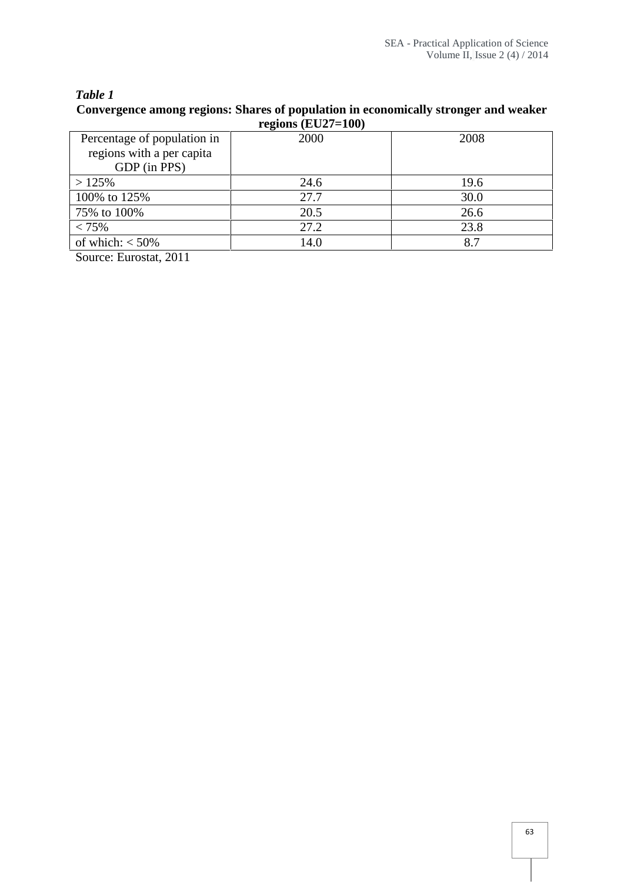# *Table 1* **Convergence among regions: Shares of population in economically stronger and weaker**

| regions $(EU27=100)$        |      |      |
|-----------------------------|------|------|
| Percentage of population in | 2000 | 2008 |
| regions with a per capita   |      |      |
| GDP (in PPS)                |      |      |
| >125%                       | 24.6 | 19.6 |
| 100% to 125%                | 27.7 | 30.0 |
| 75% to 100%                 | 20.5 | 26.6 |
| < 75%                       | 27.2 | 23.8 |
| of which: $<$ 50%           | 14.0 | 8.7  |

Source: Eurostat, 2011